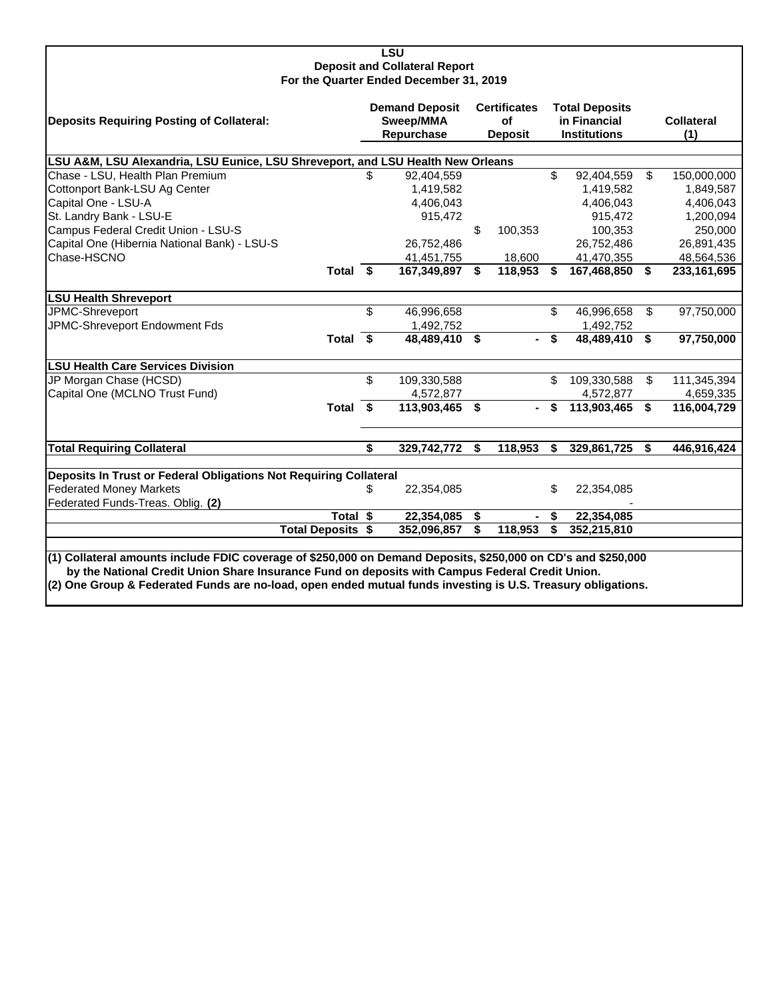## **LSU Deposit and Collateral Report For the Quarter Ended December 31, 2019**

| Deposits Requiring Posting of Collateral:                                                                                                                                                                                                                                                                                        |     | <b>Demand Deposit</b><br>Sweep/MMA<br>Repurchase | <b>Certificates</b><br>of<br><b>Deposit</b> | <b>Total Deposits</b><br>in Financial<br><b>Institutions</b> | <b>Collateral</b><br>(1) |
|----------------------------------------------------------------------------------------------------------------------------------------------------------------------------------------------------------------------------------------------------------------------------------------------------------------------------------|-----|--------------------------------------------------|---------------------------------------------|--------------------------------------------------------------|--------------------------|
| LSU A&M, LSU Alexandria, LSU Eunice, LSU Shreveport, and LSU Health New Orleans                                                                                                                                                                                                                                                  |     |                                                  |                                             |                                                              |                          |
| Chase - LSU, Health Plan Premium                                                                                                                                                                                                                                                                                                 | \$  | 92,404,559                                       |                                             | \$<br>92,404,559                                             | \$<br>150,000,000        |
| Cottonport Bank-LSU Ag Center                                                                                                                                                                                                                                                                                                    |     | 1,419,582                                        |                                             | 1,419,582                                                    | 1,849,587                |
| Capital One - LSU-A                                                                                                                                                                                                                                                                                                              |     | 4,406,043                                        |                                             | 4,406,043                                                    | 4,406,043                |
| St. Landry Bank - LSU-E                                                                                                                                                                                                                                                                                                          |     | 915,472                                          |                                             | 915,472                                                      | 1,200,094                |
| Campus Federal Credit Union - LSU-S                                                                                                                                                                                                                                                                                              |     |                                                  | \$<br>100,353                               | 100,353                                                      | 250,000                  |
| Capital One (Hibernia National Bank) - LSU-S                                                                                                                                                                                                                                                                                     |     | 26,752,486                                       |                                             | 26,752,486                                                   | 26,891,435               |
| Chase-HSCNO                                                                                                                                                                                                                                                                                                                      |     | 41,451,755                                       | 18,600                                      | 41,470,355                                                   | 48,564,536               |
| Total \$                                                                                                                                                                                                                                                                                                                         |     | 167,349,897                                      | \$<br>118,953                               | \$<br>167,468,850                                            | \$<br>233,161,695        |
| <b>LSU Health Shreveport</b>                                                                                                                                                                                                                                                                                                     |     |                                                  |                                             |                                                              |                          |
| JPMC-Shreveport                                                                                                                                                                                                                                                                                                                  | \$  | 46,996,658                                       |                                             | \$<br>46,996,658                                             | \$<br>97,750,000         |
| JPMC-Shreveport Endowment Fds                                                                                                                                                                                                                                                                                                    |     | 1,492,752                                        |                                             | 1,492,752                                                    |                          |
| Total \$                                                                                                                                                                                                                                                                                                                         |     | 48,489,410                                       | \$<br>$\blacksquare$                        | \$<br>48,489,410                                             | \$<br>97,750,000         |
| <b>LSU Health Care Services Division</b>                                                                                                                                                                                                                                                                                         |     |                                                  |                                             |                                                              |                          |
| JP Morgan Chase (HCSD)                                                                                                                                                                                                                                                                                                           | \$. | 109,330,588                                      |                                             | \$<br>109,330,588                                            | \$<br>111,345,394        |
| Capital One (MCLNO Trust Fund)                                                                                                                                                                                                                                                                                                   |     | 4,572,877                                        |                                             | 4,572,877                                                    | 4,659,335                |
| Total \$                                                                                                                                                                                                                                                                                                                         |     | 113,903,465                                      | \$                                          | \$<br>113,903,465                                            | \$<br>116,004,729        |
| <b>Total Requiring Collateral</b>                                                                                                                                                                                                                                                                                                | \$  | 329,742,772                                      | \$<br>118,953                               | \$<br>329,861,725                                            | \$<br>446,916,424        |
|                                                                                                                                                                                                                                                                                                                                  |     |                                                  |                                             |                                                              |                          |
| Deposits In Trust or Federal Obligations Not Requiring Collateral                                                                                                                                                                                                                                                                |     |                                                  |                                             |                                                              |                          |
| <b>Federated Money Markets</b>                                                                                                                                                                                                                                                                                                   | \$  | 22,354,085                                       |                                             | \$<br>22,354,085                                             |                          |
| Federated Funds-Treas. Oblig. (2)                                                                                                                                                                                                                                                                                                |     |                                                  |                                             |                                                              |                          |
| Total \$                                                                                                                                                                                                                                                                                                                         |     | 22,354,085                                       | \$                                          | \$<br>22,354,085                                             |                          |
| <b>Total Deposits \$</b>                                                                                                                                                                                                                                                                                                         |     | 352,096,857                                      | \$<br>118,953                               | \$<br>352,215,810                                            |                          |
| (1) Collateral amounts include FDIC coverage of \$250,000 on Demand Deposits, \$250,000 on CD's and \$250,000<br>by the National Credit Union Share Insurance Fund on deposits with Campus Federal Credit Union.<br>(2) One Group & Federated Funds are no-load, open ended mutual funds investing is U.S. Treasury obligations. |     |                                                  |                                             |                                                              |                          |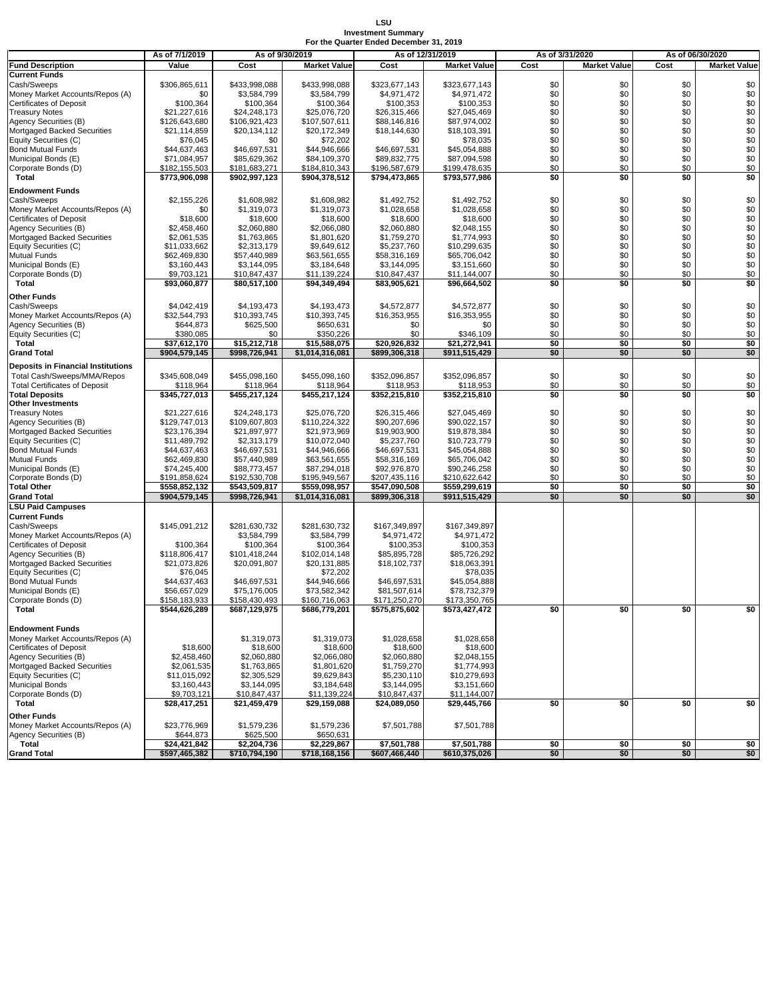## **LSU Investment Summary For the Quarter Ended December 31, 2019**

|                                                               | As of 7/1/2019                | As of 9/30/2019               |                                 | As of 12/31/2019              |                               | As of 3/31/2020 |                     | As of 06/30/2020 |                     |
|---------------------------------------------------------------|-------------------------------|-------------------------------|---------------------------------|-------------------------------|-------------------------------|-----------------|---------------------|------------------|---------------------|
| <b>Fund Description</b>                                       | Value                         | Cost                          | <b>Market Value</b>             | Cost                          | <b>Market Value</b>           | Cost            | <b>Market Value</b> | Cost             | <b>Market Value</b> |
| <b>Current Funds</b>                                          |                               |                               |                                 |                               |                               |                 |                     |                  |                     |
| Cash/Sweeps                                                   | \$306,865,611                 | \$433,998,088                 | \$433.998.088                   | \$323,677,143                 | \$323,677,143                 | \$0             | \$0                 | \$0              | \$0                 |
| Money Market Accounts/Repos (A)                               | \$0                           | \$3,584,799                   | \$3,584,799                     | \$4,971,472                   | \$4,971,472                   | \$0             | \$0                 | \$0              | \$0                 |
| Certificates of Deposit                                       | \$100,364                     | \$100,364                     | \$100,364                       | \$100,353                     | \$100,353                     | \$0             | \$0                 | \$0              | \$0                 |
| <b>Treasury Notes</b>                                         | \$21,227,616<br>\$126,643,680 | \$24.248.173                  | \$25,076,720                    | \$26,315,466                  | \$27,045,469                  | \$0             | \$0<br>\$0          | \$0              | \$0                 |
| Agency Securities (B)<br>Mortgaged Backed Securities          |                               | \$106,921,423<br>\$20,134,112 | \$107,507,611<br>\$20,172,349   | \$88,146,816<br>\$18,144,630  | \$87,974,002<br>\$18,103,391  | \$0<br>\$0      | \$0                 | \$0<br>\$0       | \$0<br>\$0          |
| Equity Securities (C)                                         | \$21,114,859<br>\$76,045      | \$0                           | \$72,202                        | \$0                           | \$78,035                      | \$0             | \$0                 | \$0              | $\$0$               |
| Bond Mutual Funds                                             | \$44,637,463                  | \$46,697,531                  | \$44,946,666                    | \$46,697,531                  | \$45,054,888                  | \$0             | \$0                 | \$0              | \$0                 |
| Municipal Bonds (E)                                           | \$71,084,957                  | \$85,629,362                  | \$84,109,370                    | \$89,832,775                  | \$87,094,598                  | \$0             | \$0                 | \$0              | \$0                 |
| Corporate Bonds (D)                                           | \$182,155,503                 | \$181,683,271                 | \$184,810,343                   | \$196,587,679                 | \$199,478,635                 | \$0             | \$0                 | \$0              | \$0                 |
| Total                                                         | \$773,906,098                 | \$902,997,123                 | \$904,378,512                   | \$794,473,865                 | \$793,577,986                 | \$0             | \$0                 | \$0              | \$0                 |
| <b>Endowment Funds</b>                                        |                               |                               |                                 |                               |                               |                 |                     |                  |                     |
| Cash/Sweeps                                                   | \$2,155,226                   | \$1,608,982                   | \$1,608,982                     | \$1,492,752                   | \$1,492,752                   | \$0             | \$0                 | \$0              | \$0                 |
| Money Market Accounts/Repos (A)                               | \$0                           | \$1,319,073                   | \$1,319,073                     | \$1,028,658                   | \$1,028,658                   | \$0             | \$0                 | \$0              | \$0                 |
| Certificates of Deposit                                       | \$18,600                      | \$18,600                      | \$18,600                        | \$18,600                      | \$18,600                      | \$0             | \$0                 | \$0              | \$0                 |
| Agency Securities (B)                                         | \$2,458,460                   | \$2,060,880                   | \$2,066,080                     | \$2,060,880                   | \$2,048,155                   | \$0             | \$0                 | \$0              | \$0                 |
| Mortgaged Backed Securities                                   | \$2,061,535                   | \$1,763,865                   | \$1,801,620                     | \$1,759,270                   | \$1,774,993                   | \$0             | \$0                 | \$0              | \$0                 |
| Equity Securities (C)                                         | \$11,033,662                  | \$2,313,179                   | \$9,649,612                     | \$5,237,760                   | \$10,299,635                  | \$0             | \$0                 | \$0              | $\$0$               |
| Mutual Funds                                                  | \$62,469,830                  | \$57,440,989                  | \$63,561,655                    | \$58,316,169                  | \$65,706,042                  | \$0             | \$0                 | \$0              | \$0                 |
| Municipal Bonds (E)                                           | \$3,160,443                   | \$3,144,095                   | \$3,184,648                     | \$3,144,095                   | \$3,151,660                   | \$0             | \$0                 | \$0              | \$0                 |
| Corporate Bonds (D)                                           | \$9,703,121                   | \$10,847,437                  | \$11,139,224                    | \$10,847,437                  | \$11,144,007                  | \$0             | \$0                 | \$0              | \$0                 |
| Total                                                         | \$93,060,877                  | \$80,517,100                  | \$94,349,494                    | \$83,905,621                  | \$96,664,502                  | \$0             | \$0                 | \$0              | \$0                 |
| Other Funds                                                   |                               |                               |                                 |                               |                               |                 |                     |                  |                     |
| Cash/Sweeps                                                   | \$4,042,419                   | \$4.193.473                   | \$4,193,473                     | \$4.572.877                   | \$4,572,877                   | \$0             | \$0                 | \$0              | \$0                 |
| Money Market Accounts/Repos (A)                               | \$32,544,793                  | \$10,393,745                  | \$10,393,745                    | \$16.353.955                  | \$16,353,955                  | \$0             | \$0                 | \$0              | \$0                 |
| Agency Securities (B)                                         | \$644,873                     | \$625,500                     | \$650,631                       | \$0                           | \$0                           | \$0             | \$0                 | \$0              | \$0                 |
| Equity Securities (C)                                         | \$380.085                     | \$0                           | \$350,226                       | \$0                           | \$346,109                     | \$0             | \$0                 | \$0              | \$0                 |
| Total<br><b>Grand Total</b>                                   | \$37,612,170<br>\$904,579,145 | \$15,212,718<br>\$998,726,941 | \$15,588,075<br>\$1,014,316,081 | \$20,926,832<br>\$899,306,318 | \$21,272,941<br>\$911,515,429 | \$0<br>\$0      | \$0<br>\$0          | \$0<br>\$0       | \$0<br>\$0          |
|                                                               |                               |                               |                                 |                               |                               |                 |                     |                  |                     |
| <b>Deposits in Financial Institutions</b>                     |                               |                               |                                 |                               |                               |                 |                     |                  |                     |
| Total Cash/Sweeps/MMA/Repos                                   | \$345,608,049                 | \$455,098,160                 | \$455,098,160                   | \$352,096,857                 | \$352,096,857                 | \$0             | \$0                 | \$0              | \$0                 |
| <b>Total Certificates of Deposit</b><br><b>Total Deposits</b> | \$118,964<br>\$345,727,013    | \$118,964<br>\$455,217,124    | \$118,964<br>\$455,217,124      | \$118,953<br>\$352,215,810    | \$118,953<br>\$352,215,810    | \$0<br>\$0      | \$0<br>\$0          | \$0<br>\$0       | \$0<br>\$0          |
| Other Investments                                             |                               |                               |                                 |                               |                               |                 |                     |                  |                     |
| Treasury Notes                                                | \$21,227,616                  | \$24,248,173                  | \$25,076,720                    | \$26,315,466                  | \$27,045,469                  | \$0             | \$0                 | \$0              | \$0                 |
| Agency Securities (B)                                         | \$129,747,013                 | \$109,607,803                 | \$110,224,322                   | \$90,207,696                  | \$90,022,157                  | \$0             | \$0                 | \$0              | \$0                 |
| Mortgaged Backed Securities                                   | \$23,176,394                  | \$21,897,977                  | \$21,973,969                    | \$19,903,900                  | \$19,878,384                  | \$0             | \$0                 | \$0              | \$0                 |
| Equity Securities (C)                                         | \$11,489,792                  | \$2,313,179                   | \$10,072,040                    | \$5,237,760                   | \$10,723,779                  | \$0             | \$0                 | \$0              | \$0                 |
| Bond Mutual Funds                                             | \$44,637,463                  | \$46,697,531                  | \$44,946,666                    | \$46,697,531                  | \$45,054,888                  | \$0             | \$0                 | \$0              | \$0                 |
| Mutual Funds                                                  | \$62,469,830                  | \$57,440,989                  | \$63,561,655                    | \$58,316,169                  | \$65,706,042                  | \$0             | \$0                 | \$0              | \$0                 |
| Municipal Bonds (E)                                           | \$74,245,400                  | \$88,773,457                  | \$87,294,018                    | \$92,976,870                  | \$90,246,258                  | \$0             | \$0                 | \$0              | \$0                 |
| Corporate Bonds (D)                                           | \$191,858,624                 | \$192,530,708                 | \$195,949,567                   | \$207,435,116                 | \$210,622,642                 | \$0             | \$0                 | \$0              | \$0                 |
| <b>Total Other</b>                                            | \$558,852,132                 | \$543,509,817                 | \$559,098,957                   | \$547,090,508                 | \$559,299,619                 | \$0             | \$0<br>\$0          | \$0<br>\$0       | \$0<br>\$0          |
| <b>Grand Total</b><br><b>LSU Paid Campuses</b>                | \$904,579,145                 | \$998,726,941                 | \$1,014,316,081                 | \$899,306,318                 | \$911,515,429                 | \$0             |                     |                  |                     |
| <b>Current Funds</b>                                          |                               |                               |                                 |                               |                               |                 |                     |                  |                     |
| Cash/Sweeps                                                   | \$145,091,212                 | \$281,630,732                 | \$281,630,732                   | \$167,349,897                 | \$167,349,897                 |                 |                     |                  |                     |
| Money Market Accounts/Repos (A)                               |                               | \$3,584,799                   | \$3,584,799                     | \$4,971,472                   | \$4,971,472                   |                 |                     |                  |                     |
| Certificates of Deposit                                       | \$100,364                     | \$100,364                     | \$100,364                       | \$100,353                     | \$100,353                     |                 |                     |                  |                     |
| <b>Agency Securities (B)</b>                                  | \$118,806,417                 | \$101,418,244                 | \$102,014,148                   | \$85,895,728                  | \$85,726,292                  |                 |                     |                  |                     |
| Mortgaged Backed Securities                                   | \$21,073,826                  | \$20,091,807                  | \$20,131,885                    | \$18,102,737                  | \$18,063,391                  |                 |                     |                  |                     |
| Equity Securities (C)                                         | \$76,045                      |                               | \$72,202                        |                               | \$78,035                      |                 |                     |                  |                     |
| Bond Mutual Funds                                             | \$44,637,463                  | \$46,697,531                  | \$44.946.666                    | \$46,697,531                  | \$45,054,888                  |                 |                     |                  |                     |
| Municipal Bonds (E)                                           | \$56,657,029                  | \$75,176,005                  | \$73,582,342                    | \$81,507,614                  | \$78,732,379                  |                 |                     |                  |                     |
| Corporate Bonds (D)                                           | \$158,183,933                 | \$158,430,493                 | \$160,716,063                   | \$171,250,270                 | \$173,350,765                 | \$0             | \$0                 | \$0              |                     |
| Total                                                         | \$544,626,289                 | \$687,129,975                 | \$686,779,201                   | \$575,875,602                 | \$573,427,472                 |                 |                     |                  | \$0                 |
| Endowment Funds                                               |                               |                               |                                 |                               |                               |                 |                     |                  |                     |
| Money Market Accounts/Repos (A)                               |                               | \$1,319,073                   | \$1,319,073                     | \$1,028,658                   | \$1,028,658                   |                 |                     |                  |                     |
| Certificates of Deposit                                       | \$18,600                      | \$18,600                      | \$18,600                        | \$18,600                      | \$18,600                      |                 |                     |                  |                     |
| Agency Securities (B)                                         | \$2,458,460                   | \$2,060,880                   | \$2,066,080                     | \$2,060,880                   | \$2,048,155                   |                 |                     |                  |                     |
| Mortgaged Backed Securities                                   | \$2,061,535                   | \$1,763,865                   | \$1,801,620                     | \$1,759,270                   | \$1,774,993                   |                 |                     |                  |                     |
| Equity Securities (C)                                         | \$11,015,092                  | \$2,305,529                   | \$9,629,843                     | \$5,230,110                   | \$10,279,693                  |                 |                     |                  |                     |
| Municipal Bonds                                               | \$3,160,443                   | \$3,144,095                   | \$3,184,648                     | \$3,144,095                   | \$3,151,660                   |                 |                     |                  |                     |
| Corporate Bonds (D)                                           | \$9,703,121                   | \$10,847,437                  | \$11,139,224                    | \$10,847,437                  | \$11,144,007                  |                 |                     |                  |                     |
| Total                                                         | \$28,417,251                  | \$21,459,479                  | \$29,159,088                    | \$24,089,050                  | \$29,445,766                  | \$0             | \$0                 | \$0              | \$0                 |
| Other Funds                                                   |                               |                               |                                 |                               |                               |                 |                     |                  |                     |
| Money Market Accounts/Repos (A)                               | \$23,776,969                  | \$1,579,236                   | \$1,579,236                     | \$7,501,788                   | \$7,501,788                   |                 |                     |                  |                     |
| Agency Securities (B)                                         | \$644,873                     | \$625,500                     | \$650,631                       |                               |                               |                 |                     |                  |                     |
| Total                                                         | \$24,421,842                  | \$2,204,736                   | \$2,229,867                     | \$7,501,788                   | \$7,501,788                   | \$0             | \$0                 | \$0              | \$0                 |
| <b>Grand Total</b>                                            | \$597,465,382                 | \$710,794,190                 | \$718,168,156                   | \$607,466,440                 | \$610,375,026                 | \$0             | \$0                 | \$0              | \$0                 |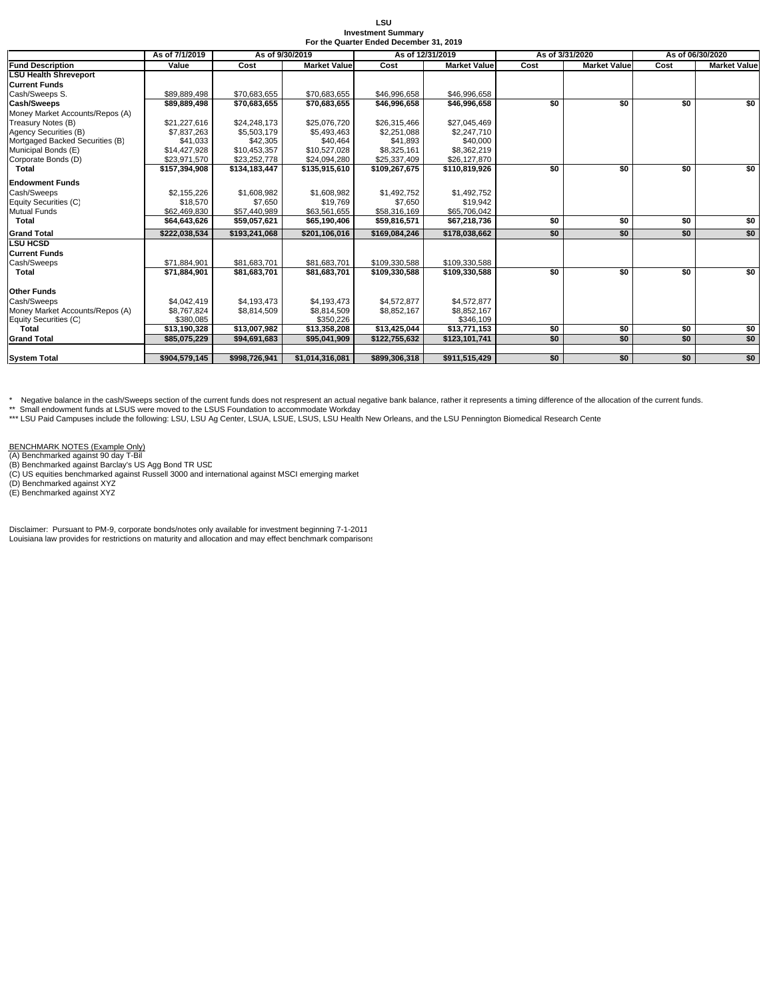| LSU.                                    |  |
|-----------------------------------------|--|
| <b>Investment Summary</b>               |  |
| For the Quarter Ended December 31, 2019 |  |

|                                 | As of 7/1/2019 | As of 9/30/2019<br>As of 12/31/2019 |                     |               | As of 3/31/2020     |      | As of 06/30/2020    |      |                     |
|---------------------------------|----------------|-------------------------------------|---------------------|---------------|---------------------|------|---------------------|------|---------------------|
| <b>Fund Description</b>         | Value          | Cost                                | <b>Market Value</b> | Cost          | <b>Market Value</b> | Cost | <b>Market Value</b> | Cost | <b>Market Value</b> |
| <b>LSU Health Shreveport</b>    |                |                                     |                     |               |                     |      |                     |      |                     |
| <b>Current Funds</b>            |                |                                     |                     |               |                     |      |                     |      |                     |
| Cash/Sweeps S.                  | \$89,889,498   | \$70,683,655                        | \$70,683,655        | \$46,996,658  | \$46,996,658        |      |                     |      |                     |
| Cash/Sweeps                     | \$89,889,498   | \$70,683,655                        | \$70,683,655        | \$46,996,658  | \$46,996,658        | \$0  | \$0                 | \$0  | \$0                 |
| Money Market Accounts/Repos (A) |                |                                     |                     |               |                     |      |                     |      |                     |
| Treasury Notes (B)              | \$21.227.616   | \$24.248.173                        | \$25,076,720        | \$26,315,466  | \$27,045,469        |      |                     |      |                     |
| Agency Securities (B)           | \$7,837,263    | \$5,503,179                         | \$5,493,463         | \$2,251,088   | \$2,247,710         |      |                     |      |                     |
| Mortgaged Backed Securities (B) | \$41,033       | \$42,305                            | \$40.464            | \$41.893      | \$40,000            |      |                     |      |                     |
| Municipal Bonds (E)             | \$14,427,928   | \$10,453,357                        | \$10,527,028        | \$8,325,161   | \$8,362,219         |      |                     |      |                     |
| Corporate Bonds (D)             | \$23,971,570   | \$23,252,778                        | \$24,094,280        | \$25,337,409  | \$26,127,870        |      |                     |      |                     |
| Total                           | \$157,394,908  | \$134.183.447                       | \$135,915,610       | \$109,267,675 | \$110,819,926       | \$0  | \$0                 | \$0  | \$0                 |
| <b>Endowment Funds</b>          |                |                                     |                     |               |                     |      |                     |      |                     |
| Cash/Sweeps                     | \$2,155,226    | \$1,608,982                         | \$1,608,982         | \$1,492,752   | \$1,492,752         |      |                     |      |                     |
| Equity Securities (C)           | \$18,570       | \$7,650                             | \$19,769            | \$7,650       | \$19,942            |      |                     |      |                     |
| <b>Mutual Funds</b>             | \$62,469,830   | \$57.440.989                        | \$63,561,655        | \$58.316.169  | \$65,706,042        |      |                     |      |                     |
| Total                           | \$64,643,626   | \$59,057,621                        | \$65,190,406        | \$59,816,571  | \$67,218,736        | \$0  | \$0                 | \$0  | \$0                 |
| <b>Grand Total</b>              | \$222,038,534  | \$193,241,068                       | \$201,106,016       | \$169.084.246 | \$178,038,662       | \$0  | \$0                 | \$0  | \$0                 |
| <b>LSU HCSD</b>                 |                |                                     |                     |               |                     |      |                     |      |                     |
| <b>Current Funds</b>            |                |                                     |                     |               |                     |      |                     |      |                     |
| Cash/Sweeps                     | \$71.884.901   | \$81,683,701                        | \$81,683,701        | \$109.330.588 | \$109,330,588       |      |                     |      |                     |
| <b>Total</b>                    | \$71,884,901   | \$81,683,701                        | \$81,683,701        | \$109,330,588 | \$109,330,588       | \$0  | \$0                 | \$0  | \$0                 |
| <b>Other Funds</b>              |                |                                     |                     |               |                     |      |                     |      |                     |
| Cash/Sweeps                     | \$4.042.419    | \$4,193,473                         | \$4,193,473         | \$4,572,877   | \$4,572,877         |      |                     |      |                     |
| Money Market Accounts/Repos (A) | \$8,767,824    | \$8,814,509                         | \$8,814,509         | \$8,852,167   | \$8,852,167         |      |                     |      |                     |
| Equity Securities (C)           | \$380,085      |                                     | \$350,226           |               | \$346,109           |      |                     |      |                     |
| <b>Total</b>                    | \$13.190.328   | \$13,007.982                        | \$13,358,208        | \$13,425,044  | \$13,771,153        | \$0  | \$0                 | \$0  | \$0                 |
| <b>Grand Total</b>              | \$85,075,229   | \$94,691,683                        | \$95,041,909        | \$122,755,632 | \$123,101,741       | \$0  | \$0                 | \$0  | \$0                 |
|                                 |                |                                     |                     |               |                     |      |                     |      |                     |
| <b>System Total</b>             | \$904,579,145  | \$998,726,941                       | \$1,014,316,081     | \$899,306,318 | \$911,515,429       | \$0  | \$0                 | \$0  | \$0                 |

\* Negative balance in the cash/Sweeps section of the current funds does not respresent an actual negative bank balance, rather it represents a timing difference of the allocation of the current funds.

\*\* Small endowment funds at LSUS were moved to the LSUS Foundation to accommodate Workday<br>\*\*\* LSU Paid Campuses include the following: LSU, LSU Ag Center, LSUA, LSUE, LSUS, LSU Health New Orleans, and the LSU Pennington Bi

BENCHMARK NOTES (Example Only)<br>(A) Benchmarked against 90 day T-Bil<br>(B) Benchmarked against Barclay's US Agg Bond TR USC<br>(C) US equities benchmarked against Russell 3000 and international against MSCI emerging market<br>(D) B

Disclaimer: Pursuant to PM-9, corporate bonds/notes only available for investment beginning 7-1-2011 Louisiana law provides for restrictions on maturity and allocation and may effect benchmark comparisons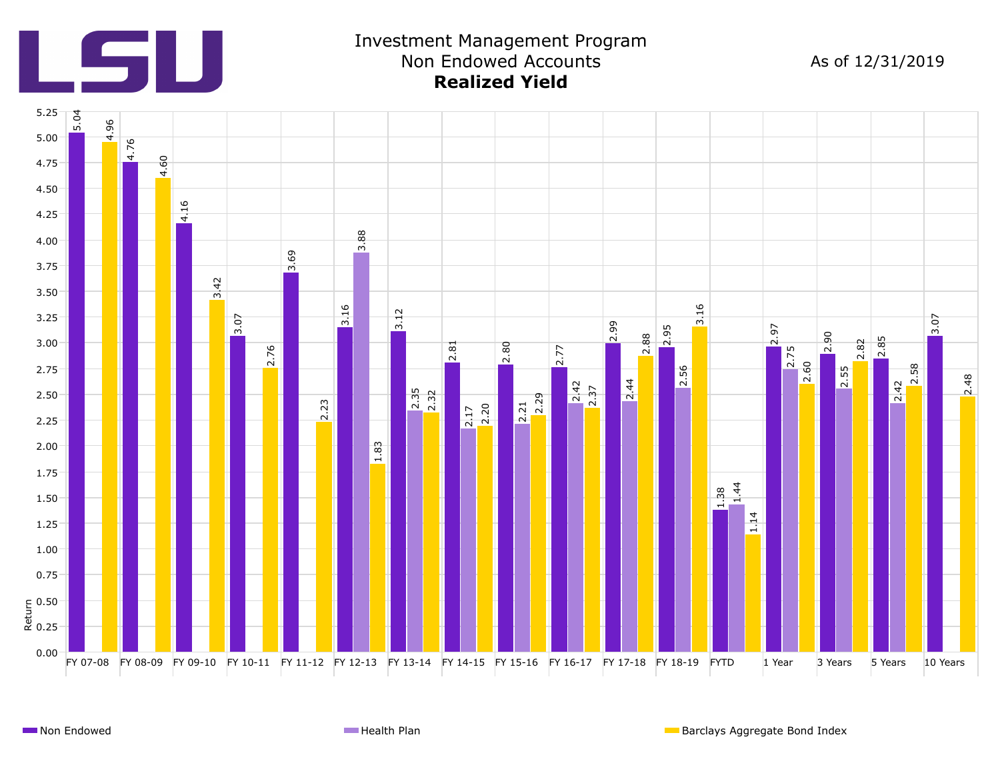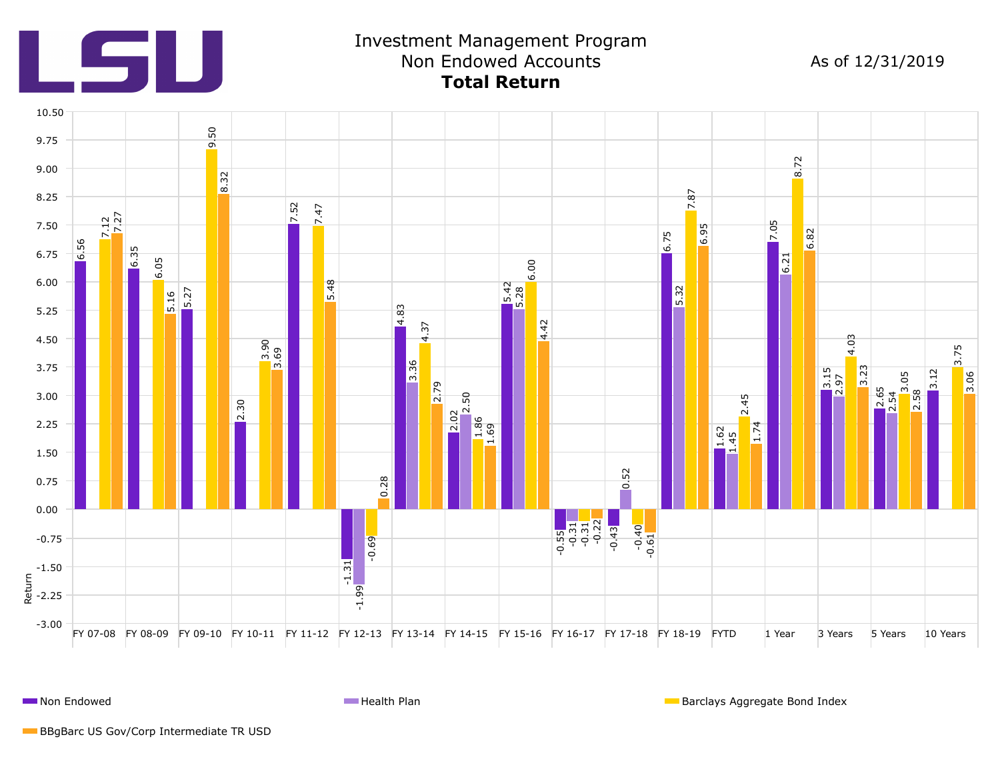

**Non Endowed Health Plan** Barclays Aggregate Bond Index **Health Plan** Barclays Aggregate Bond Index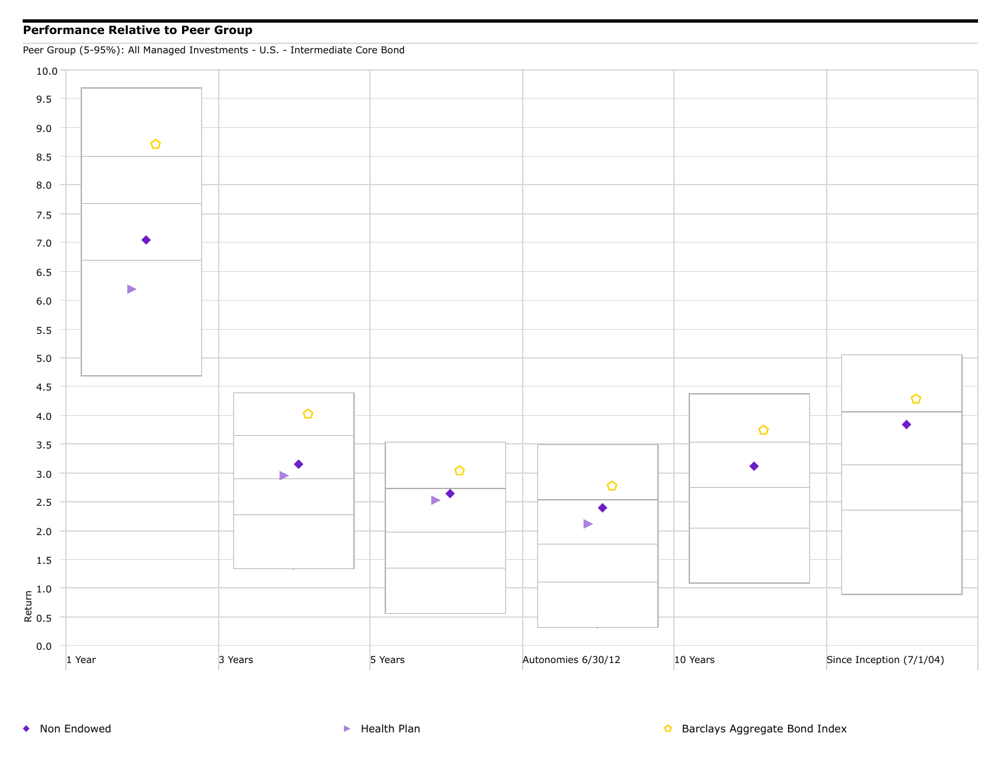## **Performance Relative to Peer Group**

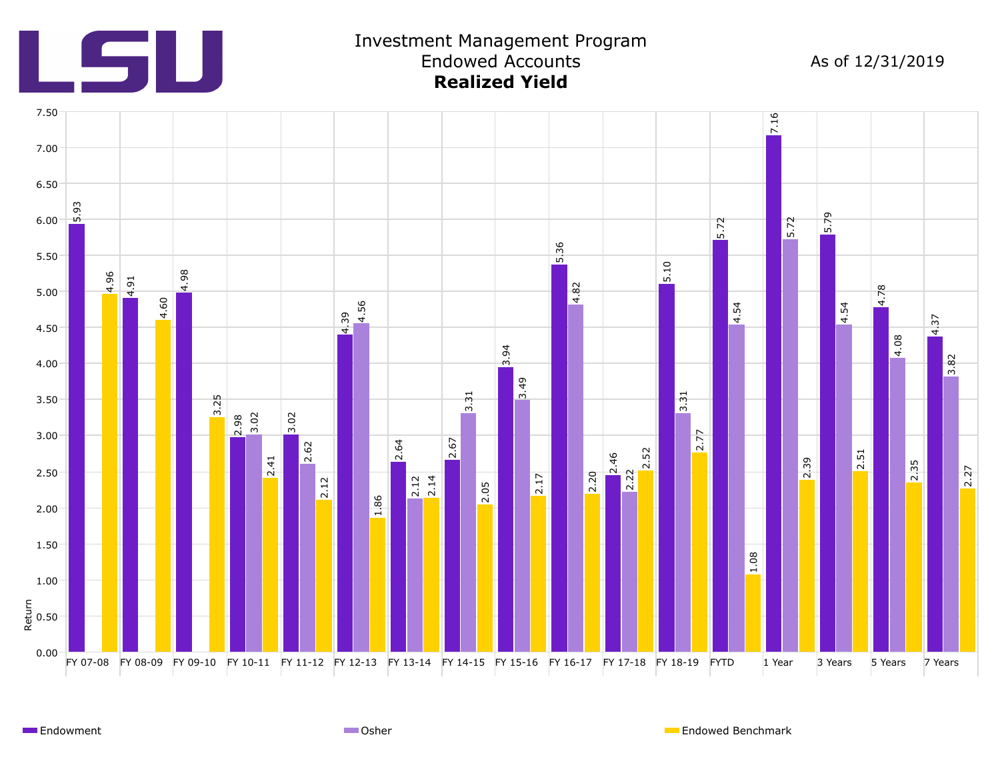

Endowment **Endowed Benchmark** Communication Communication Communication Communication Communication Communication Communication Communication Communication Communication Communication Communication Communication Communicat